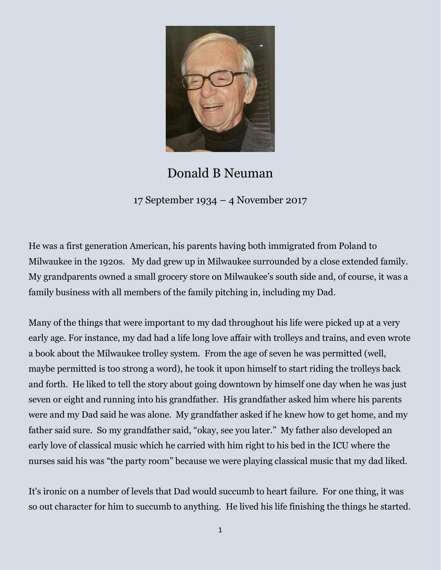

## Donald B Neuman

17 September 1934 – 4 November 2017

He was a first generation American, his parents having both immigrated from Poland to Milwaukee in the 1920s. My dad grew up in Milwaukee surrounded by a close extended family. My grandparents owned a small grocery store on Milwaukee's south side and, of course, it was a family business with all members of the family pitching in, including my Dad.

Many of the things that were important to my dad throughout his life were picked up at a very early age. For instance, my dad had a life long love affair with trolleys and trains, and even wrote a book about the Milwaukee trolley system. From the age of seven he was permitted (well, maybe permitted is too strong a word), he took it upon himself to start riding the trolleys back and forth. He liked to tell the story about going downtown by himself one day when he was just seven or eight and running into his grandfather. His grandfather asked him where his parents were and my Dad said he was alone. My grandfather asked if he knew how to get home, and my father said sure. So my grandfather said, "okay, see you later." My father also developed an early love of classical music which he carried with him right to his bed in the ICU where the nurses said his was "the party room" because we were playing classical music that my dad liked.

It's ironic on a number of levels that Dad would succumb to heart failure. For one thing, it was so out character for him to succumb to anything. He lived his life finishing the things he started.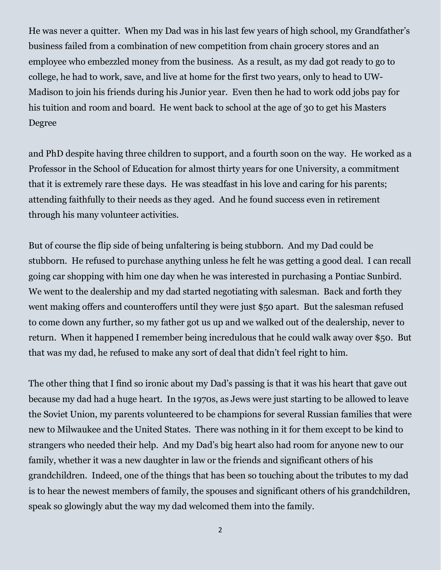He was never a quitter. When my Dad was in his last few years of high school, my Grandfather's business failed from a combination of new competition from chain grocery stores and an employee who embezzled money from the business. As a result, as my dad got ready to go to college, he had to work, save, and live at home for the first two years, only to head to UW-Madison to join his friends during his Junior year. Even then he had to work odd jobs pay for his tuition and room and board. He went back to school at the age of 30 to get his Masters Degree

and PhD despite having three children to support, and a fourth soon on the way. He worked as a Professor in the School of Education for almost thirty years for one University, a commitment that it is extremely rare these days. He was steadfast in his love and caring for his parents; attending faithfully to their needs as they aged. And he found success even in retirement through his many volunteer activities.

But of course the flip side of being unfaltering is being stubborn. And my Dad could be stubborn. He refused to purchase anything unless he felt he was getting a good deal. I can recall going car shopping with him one day when he was interested in purchasing a Pontiac Sunbird. We went to the dealership and my dad started negotiating with salesman. Back and forth they went making offers and counteroffers until they were just \$50 apart. But the salesman refused to come down any further, so my father got us up and we walked out of the dealership, never to return. When it happened I remember being incredulous that he could walk away over \$50. But that was my dad, he refused to make any sort of deal that didn't feel right to him.

The other thing that I find so ironic about my Dad's passing is that it was his heart that gave out because my dad had a huge heart. In the 1970s, as Jews were just starting to be allowed to leave the Soviet Union, my parents volunteered to be champions for several Russian families that were new to Milwaukee and the United States. There was nothing in it for them except to be kind to strangers who needed their help. And my Dad's big heart also had room for anyone new to our family, whether it was a new daughter in law or the friends and significant others of his grandchildren. Indeed, one of the things that has been so touching about the tributes to my dad is to hear the newest members of family, the spouses and significant others of his grandchildren, speak so glowingly abut the way my dad welcomed them into the family.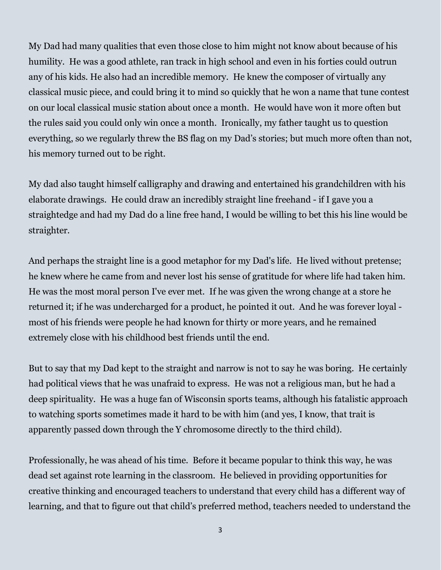My Dad had many qualities that even those close to him might not know about because of his humility. He was a good athlete, ran track in high school and even in his forties could outrun any of his kids. He also had an incredible memory. He knew the composer of virtually any classical music piece, and could bring it to mind so quickly that he won a name that tune contest on our local classical music station about once a month. He would have won it more often but the rules said you could only win once a month. Ironically, my father taught us to question everything, so we regularly threw the BS flag on my Dad's stories; but much more often than not, his memory turned out to be right.

My dad also taught himself calligraphy and drawing and entertained his grandchildren with his elaborate drawings. He could draw an incredibly straight line freehand - if I gave you a straightedge and had my Dad do a line free hand, I would be willing to bet this his line would be straighter.

And perhaps the straight line is a good metaphor for my Dad's life. He lived without pretense; he knew where he came from and never lost his sense of gratitude for where life had taken him. He was the most moral person I've ever met. If he was given the wrong change at a store he returned it; if he was undercharged for a product, he pointed it out. And he was forever loyal most of his friends were people he had known for thirty or more years, and he remained extremely close with his childhood best friends until the end.

But to say that my Dad kept to the straight and narrow is not to say he was boring. He certainly had political views that he was unafraid to express. He was not a religious man, but he had a deep spirituality. He was a huge fan of Wisconsin sports teams, although his fatalistic approach to watching sports sometimes made it hard to be with him (and yes, I know, that trait is apparently passed down through the Y chromosome directly to the third child).

Professionally, he was ahead of his time. Before it became popular to think this way, he was dead set against rote learning in the classroom. He believed in providing opportunities for creative thinking and encouraged teachers to understand that every child has a different way of learning, and that to figure out that child's preferred method, teachers needed to understand the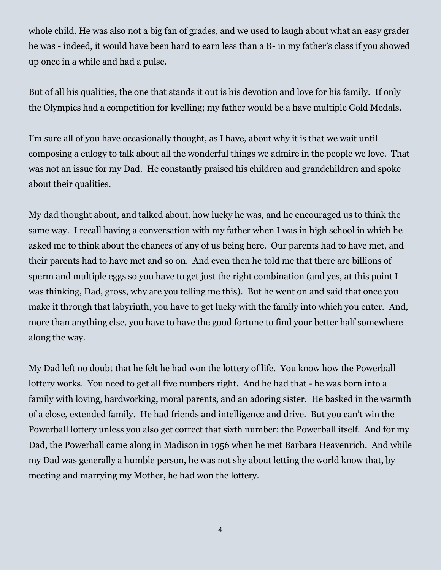whole child. He was also not a big fan of grades, and we used to laugh about what an easy grader he was - indeed, it would have been hard to earn less than a B- in my father's class if you showed up once in a while and had a pulse.

But of all his qualities, the one that stands it out is his devotion and love for his family. If only the Olympics had a competition for kvelling; my father would be a have multiple Gold Medals.

I'm sure all of you have occasionally thought, as I have, about why it is that we wait until composing a eulogy to talk about all the wonderful things we admire in the people we love. That was not an issue for my Dad. He constantly praised his children and grandchildren and spoke about their qualities.

My dad thought about, and talked about, how lucky he was, and he encouraged us to think the same way. I recall having a conversation with my father when I was in high school in which he asked me to think about the chances of any of us being here. Our parents had to have met, and their parents had to have met and so on. And even then he told me that there are billions of sperm and multiple eggs so you have to get just the right combination (and yes, at this point I was thinking, Dad, gross, why are you telling me this). But he went on and said that once you make it through that labyrinth, you have to get lucky with the family into which you enter. And, more than anything else, you have to have the good fortune to find your better half somewhere along the way.

My Dad left no doubt that he felt he had won the lottery of life. You know how the Powerball lottery works. You need to get all five numbers right. And he had that - he was born into a family with loving, hardworking, moral parents, and an adoring sister. He basked in the warmth of a close, extended family. He had friends and intelligence and drive. But you can't win the Powerball lottery unless you also get correct that sixth number: the Powerball itself. And for my Dad, the Powerball came along in Madison in 1956 when he met Barbara Heavenrich. And while my Dad was generally a humble person, he was not shy about letting the world know that, by meeting and marrying my Mother, he had won the lottery.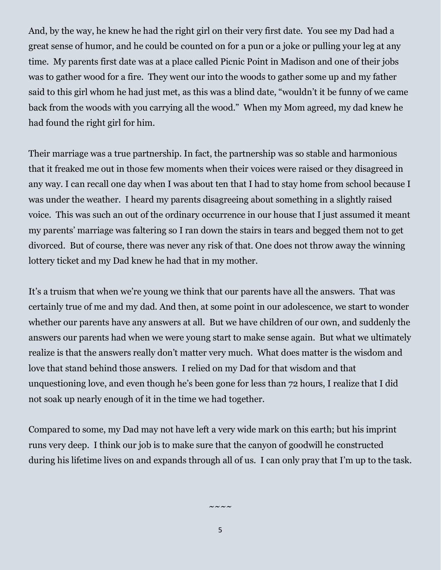And, by the way, he knew he had the right girl on their very first date. You see my Dad had a great sense of humor, and he could be counted on for a pun or a joke or pulling your leg at any time. My parents first date was at a place called Picnic Point in Madison and one of their jobs was to gather wood for a fire. They went our into the woods to gather some up and my father said to this girl whom he had just met, as this was a blind date, "wouldn't it be funny of we came back from the woods with you carrying all the wood." When my Mom agreed, my dad knew he had found the right girl for him.

Their marriage was a true partnership. In fact, the partnership was so stable and harmonious that it freaked me out in those few moments when their voices were raised or they disagreed in any way. I can recall one day when I was about ten that I had to stay home from school because I was under the weather. I heard my parents disagreeing about something in a slightly raised voice. This was such an out of the ordinary occurrence in our house that I just assumed it meant my parents' marriage was faltering so I ran down the stairs in tears and begged them not to get divorced. But of course, there was never any risk of that. One does not throw away the winning lottery ticket and my Dad knew he had that in my mother.

It's a truism that when we're young we think that our parents have all the answers. That was certainly true of me and my dad. And then, at some point in our adolescence, we start to wonder whether our parents have any answers at all. But we have children of our own, and suddenly the answers our parents had when we were young start to make sense again. But what we ultimately realize is that the answers really don't matter very much. What does matter is the wisdom and love that stand behind those answers. I relied on my Dad for that wisdom and that unquestioning love, and even though he's been gone for less than 72 hours, I realize that I did not soak up nearly enough of it in the time we had together.

Compared to some, my Dad may not have left a very wide mark on this earth; but his imprint runs very deep. I think our job is to make sure that the canyon of goodwill he constructed during his lifetime lives on and expands through all of us. I can only pray that I'm up to the task.

5

 $\sim\sim\:\sim\:\sim$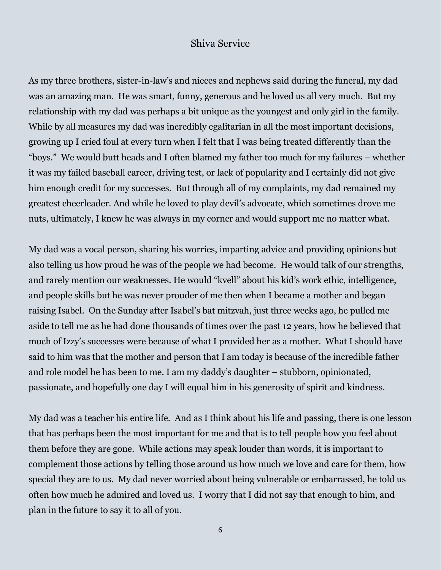## Shiva Service

As my three brothers, sister-in-law's and nieces and nephews said during the funeral, my dad was an amazing man. He was smart, funny, generous and he loved us all very much. But my relationship with my dad was perhaps a bit unique as the youngest and only girl in the family. While by all measures my dad was incredibly egalitarian in all the most important decisions, growing up I cried foul at every turn when I felt that I was being treated differently than the "boys." We would butt heads and I often blamed my father too much for my failures – whether it was my failed baseball career, driving test, or lack of popularity and I certainly did not give him enough credit for my successes. But through all of my complaints, my dad remained my greatest cheerleader. And while he loved to play devil's advocate, which sometimes drove me nuts, ultimately, I knew he was always in my corner and would support me no matter what.

My dad was a vocal person, sharing his worries, imparting advice and providing opinions but also telling us how proud he was of the people we had become. He would talk of our strengths, and rarely mention our weaknesses. He would "kvell" about his kid's work ethic, intelligence, and people skills but he was never prouder of me then when I became a mother and began raising Isabel. On the Sunday after Isabel's bat mitzvah, just three weeks ago, he pulled me aside to tell me as he had done thousands of times over the past 12 years, how he believed that much of Izzy's successes were because of what I provided her as a mother. What I should have said to him was that the mother and person that I am today is because of the incredible father and role model he has been to me. I am my daddy's daughter – stubborn, opinionated, passionate, and hopefully one day I will equal him in his generosity of spirit and kindness.

My dad was a teacher his entire life. And as I think about his life and passing, there is one lesson that has perhaps been the most important for me and that is to tell people how you feel about them before they are gone. While actions may speak louder than words, it is important to complement those actions by telling those around us how much we love and care for them, how special they are to us. My dad never worried about being vulnerable or embarrassed, he told us often how much he admired and loved us. I worry that I did not say that enough to him, and plan in the future to say it to all of you.